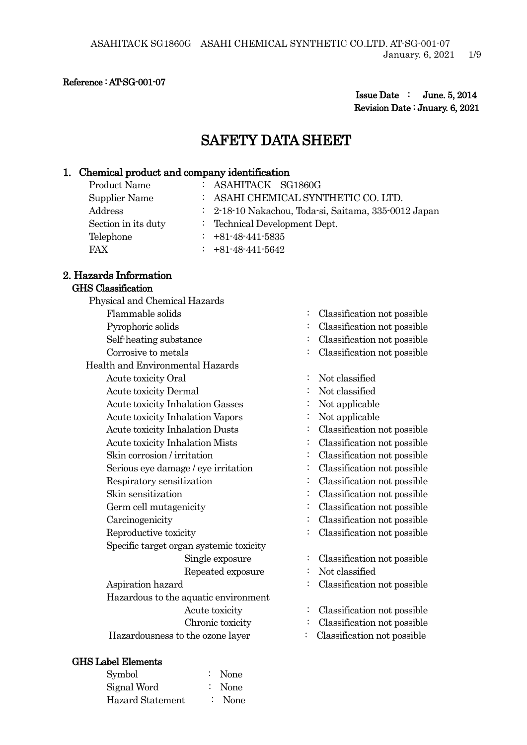#### Reference : AT-SG-001-07

 Issue Date : June. 5, 2014 Revision Date : Jnuary. 6, 2021

# SAFETY DATA SHEET

### 1. Chemical product and company identification

| Product Name        | $:$ ASAHITACK SG1860G                                |
|---------------------|------------------------------------------------------|
| Supplier Name       | $:$ ASAHI CHEMICAL SYNTHETIC CO. LTD.                |
| Address             | : 2-18-10 Nakachou, Toda-si, Saitama, 335-0012 Japan |
| Section in its duty | : Technical Development Dept.                        |
| Telephone           | $\div$ +81-48-441-5835                               |
| <b>FAX</b>          | $\div$ +81-48-441-5642                               |

#### 2. Hazards Information GHS Classification

# Physical and Chemical Hazards Flammable solids : Classification not possible Pyrophoric solids : Classification not possible Self-heating substance : Classification not possible Corrosive to metals : Classification not possible Health and Environmental Hazards Acute toxicity Oral : Not classified Acute toxicity Dermal : Not classified Acute toxicity Inhalation Gasses : Not applicable Acute toxicity Inhalation Vapors : Not applicable Acute toxicity Inhalation Dusts : Classification not possible Acute toxicity Inhalation Mists : Classification not possible Skin corrosion / irritation : Classification not possible Serious eye damage / eye irritation : Classification not possible Respiratory sensitization : Classification not possible Skin sensitization : Classification not possible Germ cell mutagenicity  $\qquad \qquad$  : Classification not possible Carcinogenicity : Classification not possible Reproductive toxicity : Classification not possible Specific target organ systemic toxicity Repeated exposure : Not classified Aspiration hazard : Classification not possible Hazardous to the aquatic environment

#### GHS Label Elements

| Symbol                  | $:$ None          |
|-------------------------|-------------------|
| Signal Word             | $\therefore$ None |
| <b>Hazard Statement</b> | $:$ None          |

- 
- 
- 
- 
- 
- 
- 
- 
- 
- 
- 
- 
- 
- 
- 
- 
- 
- Single exposure : Classification not possible
	-
	-
- Acute toxicity : Classification not possible
- Chronic toxicity : Classification not possible
- Hazardousness to the ozone layer : Classification not possible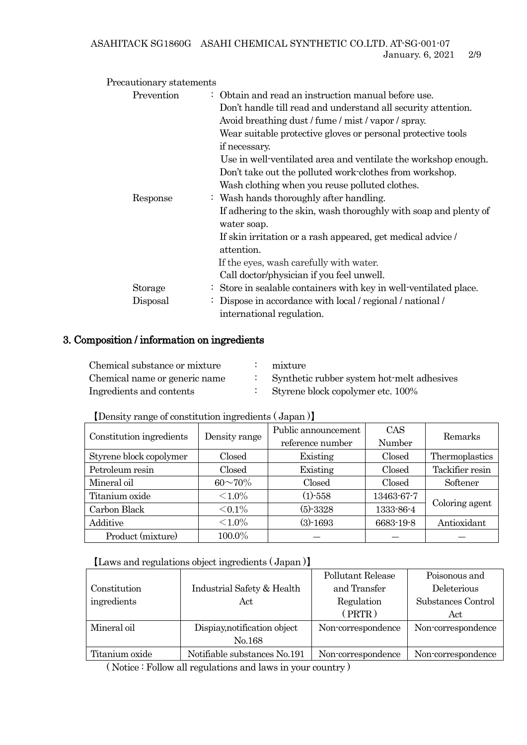| Precautionary statements |                                                                   |
|--------------------------|-------------------------------------------------------------------|
| Prevention               | $\therefore$ Obtain and read an instruction manual before use.    |
|                          | Don't handle till read and understand all security attention.     |
|                          | Avoid breathing dust / fume / mist / vapor / spray.               |
|                          | Wear suitable protective gloves or personal protective tools      |
|                          | if necessary.                                                     |
|                          | Use in well-ventilated area and ventilate the workshop enough.    |
|                          | Don't take out the polluted work-clothes from workshop.           |
|                          | Wash clothing when you reuse polluted clothes.                    |
| Response                 | : Wash hands thoroughly after handling.                           |
|                          | If adhering to the skin, wash thoroughly with soap and plenty of  |
|                          | water soap.                                                       |
|                          | If skin irritation or a rash appeared, get medical advice /       |
|                          | attention.                                                        |
|                          | If the eyes, wash carefully with water.                           |
|                          | Call doctor/physician if you feel unwell.                         |
| Storage                  | : Store in sealable containers with key in well-ventilated place. |
| Disposal                 | Dispose in accordance with local / regional / national /<br>÷     |
|                          | international regulation.                                         |

## 3. Composition / information on ingredients

| Chemical substance or mixture | mixture                                    |
|-------------------------------|--------------------------------------------|
| Chemical name or generic name | Synthetic rubber system hot-melt adhesives |
| Ingredients and contents      | Styrene block copolymer etc. 100%          |

【Density range of constitution ingredients ( Japan )】

| Constitution ingredients | Density range   | Public announcement | CAS        | Remarks         |
|--------------------------|-----------------|---------------------|------------|-----------------|
|                          |                 | reference number    | Number     |                 |
| Styrene block copolymer  | Closed          | Existing            | Closed     | Thermoplastics  |
| Petroleum resin          | Closed          | Existing            | Closed     | Tackifier resin |
| Mineral oil              | $60^{\sim}70\%$ | Closed              | Closed     | Softener        |
| Titanium oxide           | ${<}1.0\%$      | $(1) - 558$         | 13463-67-7 | Coloring agent  |
| Carbon Black             | $< 0.1\%$       | $(5)-3328$          | 1333-86-4  |                 |
| Additive                 | ${<}1.0\%$      | $(3) - 1693$        | 6683-19-8  | Antioxidant     |
| Product (mixture)        | 100.0%          |                     |            |                 |

### 【Laws and regulations object ingredients ( Japan )】

|                |                              | Pollutant Release  | Poisonous and      |
|----------------|------------------------------|--------------------|--------------------|
| Constitution   | Industrial Safety & Health   | and Transfer       | Deleterious        |
| ingredients    | Act                          | Regulation         | Substances Control |
|                |                              | (PRTR)             | Act                |
| Mineral oil    | Dispiay, notification object | Non-correspondence | Non-correspondence |
|                | No.168                       |                    |                    |
| Titanium oxide | Notifiable substances No.191 | Non-correspondence | Non-correspondence |

( Notice : Follow all regulations and laws in your country )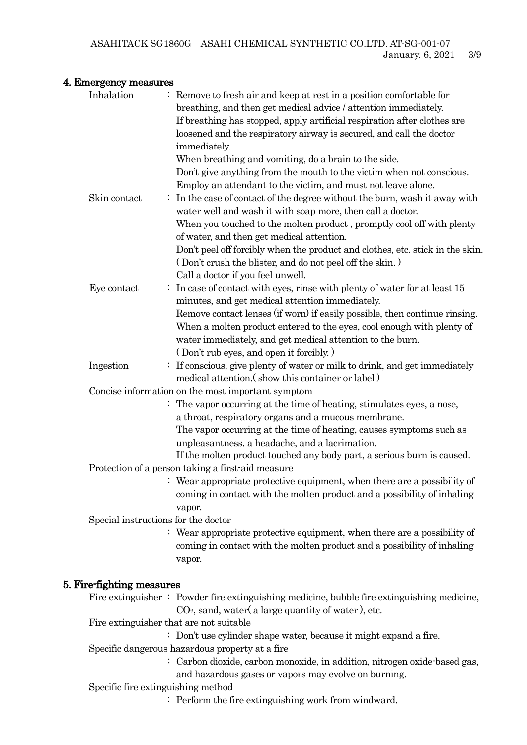### 4. Emergency measures

| <del>r.</del> Emicrgency measures   |                                                                                                    |
|-------------------------------------|----------------------------------------------------------------------------------------------------|
| Inhalation                          | Remove to fresh air and keep at rest in a position comfortable for                                 |
|                                     | breathing, and then get medical advice / attention immediately.                                    |
|                                     | If breathing has stopped, apply artificial respiration after clothes are                           |
|                                     | loosened and the respiratory airway is secured, and call the doctor                                |
|                                     | immediately.                                                                                       |
|                                     | When breathing and vomiting, do a brain to the side.                                               |
|                                     | Don't give anything from the mouth to the victim when not conscious.                               |
|                                     | Employ an attendant to the victim, and must not leave alone.                                       |
| Skin contact                        | In the case of contact of the degree without the burn, wash it away with                           |
|                                     | water well and wash it with soap more, then call a doctor.                                         |
|                                     | When you touched to the molten product, promptly cool off with plenty                              |
|                                     | of water, and then get medical attention.                                                          |
|                                     | Don't peel off forcibly when the product and clothes, etc. stick in the skin.                      |
|                                     | (Don't crush the blister, and do not peel off the skin.)                                           |
|                                     | Call a doctor if you feel unwell.                                                                  |
| Eye contact                         | $\therefore$ In case of contact with eyes, rinse with plenty of water for at least 15              |
|                                     | minutes, and get medical attention immediately.                                                    |
|                                     | Remove contact lenses (if worn) if easily possible, then continue rinsing.                         |
|                                     | When a molten product entered to the eyes, cool enough with plenty of                              |
|                                     | water immediately, and get medical attention to the burn.                                          |
|                                     | (Don't rub eyes, and open it forcibly.)                                                            |
| Ingestion                           | If conscious, give plenty of water or milk to drink, and get immediately                           |
|                                     | medical attention. (show this container or label)                                                  |
|                                     | Concise information on the most important symptom                                                  |
|                                     | : The vapor occurring at the time of heating, stimulates eyes, a nose,                             |
|                                     | a throat, respiratory organs and a mucous membrane.                                                |
|                                     | The vapor occurring at the time of heating, causes symptoms such as                                |
|                                     | unpleasantness, a headache, and a lacrimation.                                                     |
|                                     | If the molten product touched any body part, a serious burn is caused.                             |
|                                     | Protection of a person taking a first-aid measure                                                  |
|                                     | : Wear appropriate protective equipment, when there are a possibility of                           |
|                                     | coming in contact with the molten product and a possibility of inhaling                            |
|                                     | vapor.                                                                                             |
| Special instructions for the doctor |                                                                                                    |
|                                     | : Wear appropriate protective equipment, when there are a possibility of                           |
|                                     | coming in contact with the molten product and a possibility of inhaling                            |
|                                     | vapor.                                                                                             |
|                                     |                                                                                                    |
| 5. Fire-fighting measures           |                                                                                                    |
|                                     | Fire extinguisher $\colon$ Powder fire extinguishing medicine, bubble fire extinguishing medicine, |
|                                     | $CO2$ , sand, water(a large quantity of water), etc.                                               |
|                                     | Fire extinguisher that are not suitable                                                            |
|                                     | : Don't use cylinder shape water, because it might expand a fire.                                  |

Specific dangerous hazardous property at a fire

- : Carbon dioxide, carbon monoxide, in addition, nitrogen oxide-based gas,
	- and hazardous gases or vapors may evolve on burning.
- Specific fire extinguishing method
	- : Perform the fire extinguishing work from windward.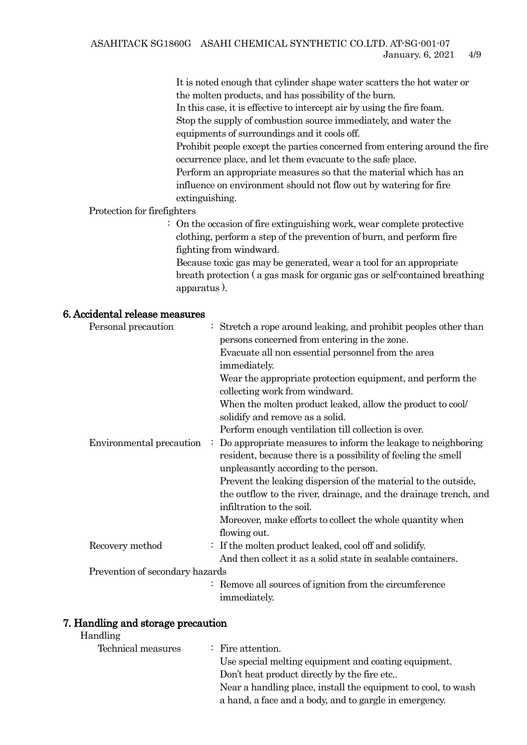It is noted enough that cylinder shape water scatters the hot water or the molten products, and has possibility of the burn. In this case, it is effective to intercept air by using the fire foam. Stop the supply of combustion source immediately, and water the equipments of surroundings and it cools off.

Prohibit people except the parties concerned from entering around the fire occurrence place, and let them evacuate to the safe place.

Perform an appropriate measures so that the material which has an influence on environment should not flow out by watering for fire extinguishing.

### Protection for firefighters

: On the occasion of fire extinguishing work, wear complete protective clothing, perform a step of the prevention of burn, and perform fire fighting from windward.

Because toxic gas may be generated, wear a tool for an appropriate breath protection ( a gas mask for organic gas or self-contained breathing apparatus ).

### 6. Accidental release measures

| Personal precaution             | $\therefore$ Stretch a rope around leaking, and prohibit peoples other than |
|---------------------------------|-----------------------------------------------------------------------------|
|                                 | persons concerned from entering in the zone.                                |
|                                 | Evacuate all non essential personnel from the area                          |
|                                 | immediately.                                                                |
|                                 | Wear the appropriate protection equipment, and perform the                  |
|                                 | collecting work from windward.                                              |
|                                 | When the molten product leaked, allow the product to cool                   |
|                                 | solidify and remove as a solid.                                             |
|                                 | Perform enough ventilation till collection is over.                         |
| Environmental precaution        | Do appropriate measures to inform the leakage to neighboring                |
|                                 | resident, because there is a possibility of feeling the smell               |
|                                 | unpleasantly according to the person.                                       |
|                                 | Prevent the leaking dispersion of the material to the outside,              |
|                                 | the outflow to the river, drainage, and the drainage trench, and            |
|                                 | infiltration to the soil.                                                   |
|                                 | Moreover, make efforts to collect the whole quantity when                   |
|                                 | flowing out.                                                                |
| Recovery method                 | $\therefore$ If the molten product leaked, cool off and solidify.           |
|                                 | And then collect it as a solid state in sealable containers.                |
| Prevention of secondary hazards |                                                                             |
|                                 | : Remove all sources of ignition from the circumference                     |
|                                 | <i>immediately.</i>                                                         |

### 7. Handling and storage precaution

#### Handling

| Technical measures | $\therefore$ Fire attention.                                  |
|--------------------|---------------------------------------------------------------|
|                    | Use special melting equipment and coating equipment.          |
|                    | Don't heat product directly by the fire etc                   |
|                    | Near a handling place, install the equipment to cool, to wash |
|                    | a hand, a face and a body, and to gargle in emergency.        |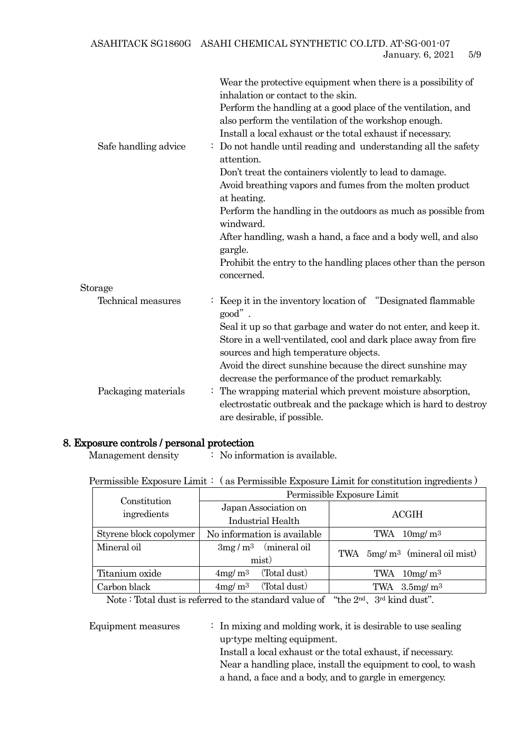ASAHITACK SG1860G ASAHI CHEMICAL SYNTHETIC CO.LTD. AT-SG-001-07 January. 6, 2021 5/9

| Safe handling advice | Wear the protective equipment when there is a possibility of<br>inhalation or contact to the skin.<br>Perform the handling at a good place of the ventilation, and<br>also perform the ventilation of the workshop enough.<br>Install a local exhaust or the total exhaust if necessary.<br>Do not handle until reading and understanding all the safety<br>attention.<br>Don't treat the containers violently to lead to damage.<br>Avoid breathing vapors and fumes from the molten product<br>at heating.<br>Perform the handling in the outdoors as much as possible from<br>windward.<br>After handling, wash a hand, a face and a body well, and also<br>gargle. |
|----------------------|------------------------------------------------------------------------------------------------------------------------------------------------------------------------------------------------------------------------------------------------------------------------------------------------------------------------------------------------------------------------------------------------------------------------------------------------------------------------------------------------------------------------------------------------------------------------------------------------------------------------------------------------------------------------|
|                      | Prohibit the entry to the handling places other than the person<br>concerned.                                                                                                                                                                                                                                                                                                                                                                                                                                                                                                                                                                                          |
| Storage              |                                                                                                                                                                                                                                                                                                                                                                                                                                                                                                                                                                                                                                                                        |
| Technical measures   | Keep it in the inventory location of "Designated flammable"<br>$good$ ".                                                                                                                                                                                                                                                                                                                                                                                                                                                                                                                                                                                               |
|                      | Seal it up so that garbage and water do not enter, and keep it.<br>Store in a well-ventilated, cool and dark place away from fire<br>sources and high temperature objects.                                                                                                                                                                                                                                                                                                                                                                                                                                                                                             |
|                      | Avoid the direct sunshine because the direct sunshine may                                                                                                                                                                                                                                                                                                                                                                                                                                                                                                                                                                                                              |
|                      | decrease the performance of the product remarkably.                                                                                                                                                                                                                                                                                                                                                                                                                                                                                                                                                                                                                    |
| Packaging materials  | The wrapping material which prevent moisture absorption,<br>electrostatic outbreak and the package which is hard to destroy                                                                                                                                                                                                                                                                                                                                                                                                                                                                                                                                            |
|                      | are desirable, if possible.                                                                                                                                                                                                                                                                                                                                                                                                                                                                                                                                                                                                                                            |

### 8. Exposure controls / personal protection

Management density : No information is available.

Permissible Exposure Limit : ( as Permissible Exposure Limit for constitution ingredients )

| Constitution            | Permissible Exposure Limit |                             |                                  |  |
|-------------------------|----------------------------|-----------------------------|----------------------------------|--|
| ingredients             | Japan Association on       |                             | <b>ACGIH</b>                     |  |
|                         | <b>Industrial Health</b>   |                             |                                  |  |
| Styrene block copolymer |                            | No information is available | TWA $10mg/m^3$                   |  |
| Mineral oil             |                            | $3mg/m^3$ (mineral oil)     | TWA $5mg/m^3$ (mineral oil mist) |  |
|                         | mist)                      |                             |                                  |  |
| Titanium oxide          | 4mg/m <sup>3</sup>         | (Total dust)                | TWA $10mg/m^3$                   |  |
| Carbon black            | 4mg/m <sup>3</sup>         | (Total dust)                | TWA $3.5$ mg/ m <sup>3</sup>     |  |

Note : Total dust is referred to the standard value of "the 2nd、3rd kind dust".

Equipment measures : In mixing and molding work, it is desirable to use sealing up-type melting equipment. Install a local exhaust or the total exhaust, if necessary. Near a handling place, install the equipment to cool, to wash a hand, a face and a body, and to gargle in emergency.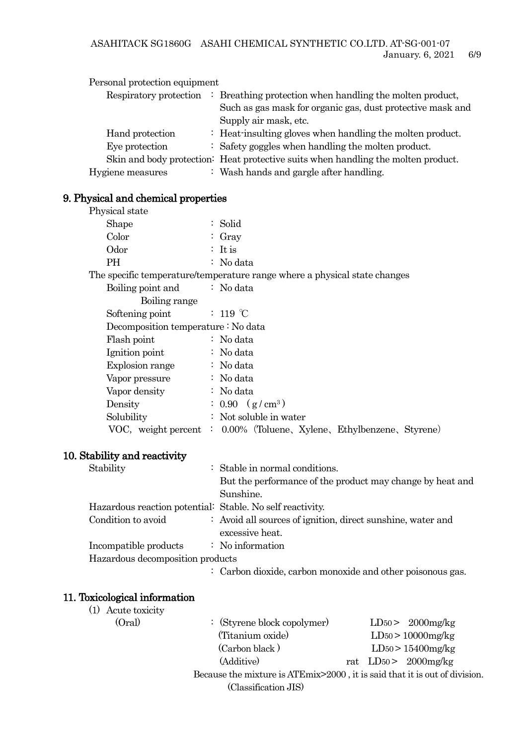| Personal protection equipment |                                                                                   |
|-------------------------------|-----------------------------------------------------------------------------------|
| Respiratory protection        | $\therefore$ Breathing protection when handling the molten product,               |
|                               | Such as gas mask for organic gas, dust protective mask and                        |
|                               | Supply air mask, etc.                                                             |
| Hand protection               | $\therefore$ Heat-insulting gloves when handling the molten product.              |
| Eye protection                | $\therefore$ Safety goggles when handling the molten product.                     |
|                               | Skin and body protection: Heat protective suits when handling the molten product. |
| Hygiene measures              | : Wash hands and gargle after handling.                                           |

## 9. Physical and chemical properties

| Physical state                                            |                                                                                |
|-----------------------------------------------------------|--------------------------------------------------------------------------------|
| Shape                                                     | : Solid                                                                        |
| Color                                                     | $\colon$ Gray                                                                  |
| Odor                                                      | : It is                                                                        |
| PH                                                        | : No data                                                                      |
|                                                           | The specific temperature/temperature range where a physical state changes      |
| Boiling point and                                         | : No data                                                                      |
| Boiling range                                             |                                                                                |
| Softening point                                           | : 119 $\degree$ C                                                              |
| Decomposition temperature : No data                       |                                                                                |
| Flash point                                               | : No data                                                                      |
| Ignition point                                            | : No data                                                                      |
| Explosion range                                           | : No data                                                                      |
| Vapor pressure                                            | : No data                                                                      |
| Vapor density                                             | : No data                                                                      |
| Density                                                   | $: 0.90$ (g/cm <sup>3</sup> )                                                  |
| Solubility                                                | : Not soluble in water                                                         |
|                                                           | VOC, weight percent : 0.00% (Toluene, Xylene, Ethylbenzene, Styrene)           |
| 10. Stability and reactivity                              |                                                                                |
| Stability                                                 | : Stable in normal conditions.                                                 |
|                                                           | But the performance of the product may change by heat and<br>Sunshine.         |
| Hazardous reaction potential: Stable. No self reactivity. |                                                                                |
| Condition to avoid                                        | : Avoid all sources of ignition, direct sunshine, water and<br>excessive heat. |
| Incompatible products                                     | : No information                                                               |
| Hazardous decomposition products                          |                                                                                |
|                                                           | : Carbon dioxide, carbon monoxide and other poisonous gas.                     |

### 11. Toxicological information

| Acute toxicity |                                                                            |  |                         |  |
|----------------|----------------------------------------------------------------------------|--|-------------------------|--|
| (Oral)         | $\colon$ (Styrene block copolymer)                                         |  | $LD50 > 2000$ mg/kg     |  |
|                | (Titanium oxide)                                                           |  | $LD_{50}$ > 10000mg/kg  |  |
|                | (Carbon black)                                                             |  | $LD50 > 15400$ mg/kg    |  |
|                | (Additive)                                                                 |  | rat $LD50 > 2000$ mg/kg |  |
|                | Because the mixture is ATEmix>2000, it is said that it is out of division. |  |                         |  |
|                | (Classification JIS)                                                       |  |                         |  |
|                |                                                                            |  |                         |  |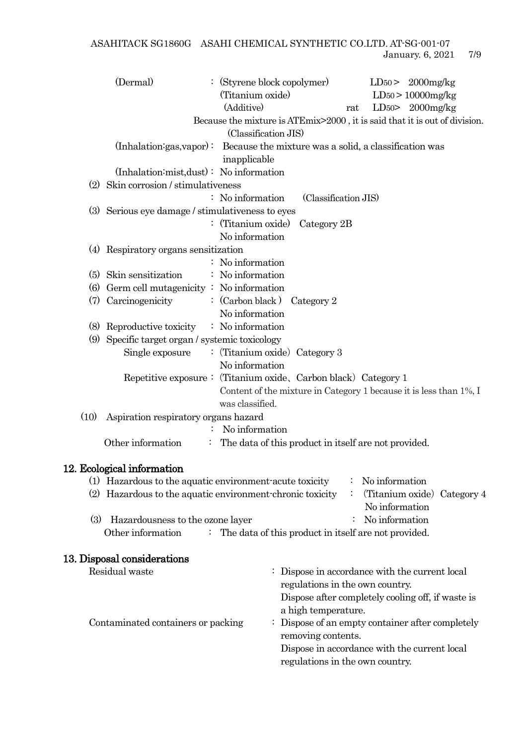ASAHITACK SG1860G ASAHI CHEMICAL SYNTHETIC CO.LTD. AT-SG-001-07 January. 6, 2021 7/9

|      | (Dermal)                                              | (Styrene block copolymer)<br>(Titanium oxide)<br>(Additive)                                        | $LD50 > 2000$ mg/kg<br>$LD_{50}$ > 10000mg/kg<br>LD <sub>50</sub> $>2000$ mg/kg<br>rat |
|------|-------------------------------------------------------|----------------------------------------------------------------------------------------------------|----------------------------------------------------------------------------------------|
|      |                                                       | Because the mixture is ATEmix>2000, it is said that it is out of division.<br>(Classification JIS) |                                                                                        |
|      |                                                       | $(Inhalation: gas, vapor):$ Because the mixture was a solid, a classification was<br>inapplicable  |                                                                                        |
|      | (Inhalation:mist,dust): No information                |                                                                                                    |                                                                                        |
|      | (2) Skin corrosion / stimulativeness                  |                                                                                                    |                                                                                        |
|      |                                                       | : No information<br>(Classification JIS)                                                           |                                                                                        |
|      | (3) Serious eye damage / stimulativeness to eyes      |                                                                                                    |                                                                                        |
|      |                                                       | : (Titanium oxide)<br>Category 2B                                                                  |                                                                                        |
|      |                                                       | No information                                                                                     |                                                                                        |
|      | (4) Respiratory organs sensitization                  |                                                                                                    |                                                                                        |
|      |                                                       | No information                                                                                     |                                                                                        |
|      | (5) Skin sensitization                                | : No information                                                                                   |                                                                                        |
| (6)  | Germ cell mutagenicity : No information               |                                                                                                    |                                                                                        |
|      | (7) Carcinogenicity                                   | : $(Carbon black)$ $Categorical 2$                                                                 |                                                                                        |
|      |                                                       | No information                                                                                     |                                                                                        |
|      | (8) Reproductive toxicity $\therefore$ No information |                                                                                                    |                                                                                        |
| (9)  | Specific target organ / systemic toxicology           |                                                                                                    |                                                                                        |
|      | Single exposure                                       | : (Titanium oxide) Category 3                                                                      |                                                                                        |
|      |                                                       | No information                                                                                     |                                                                                        |
|      |                                                       | Repetitive exposure: (Titanium oxide, Carbon black) Category 1                                     |                                                                                        |
|      |                                                       |                                                                                                    | Content of the mixture in Category 1 because it is less than 1%, I                     |
|      |                                                       | was classified.                                                                                    |                                                                                        |
| (10) | Aspiration respiratory organs hazard                  |                                                                                                    |                                                                                        |
|      |                                                       | No information                                                                                     |                                                                                        |
|      | Other information<br>÷                                | The data of this product in itself are not provided.                                               |                                                                                        |
|      | 12. Ecological information                            |                                                                                                    |                                                                                        |
|      |                                                       | (1) Hazardous to the aquatic environment-acute toxicity                                            | No information                                                                         |
|      |                                                       | (2) Hazardous to the aquatic environment-chronic toxicity                                          | (Titanium oxide) Category 4<br>No information                                          |
| (3)  | Hazardousness to the ozone layer                      |                                                                                                    | No information                                                                         |
|      | Other information                                     | The data of this product in itself are not provided.                                               |                                                                                        |

### 13. Disposal considerations

Residual waste : Dispose in accordance with the current local regulations in the own country. Dispose after completely cooling off, if waste is a high temperature. Contaminated containers or packing  $\qquad \qquad : \qquad$  Dispose of an empty container after completely removing contents. Dispose in accordance with the current local regulations in the own country.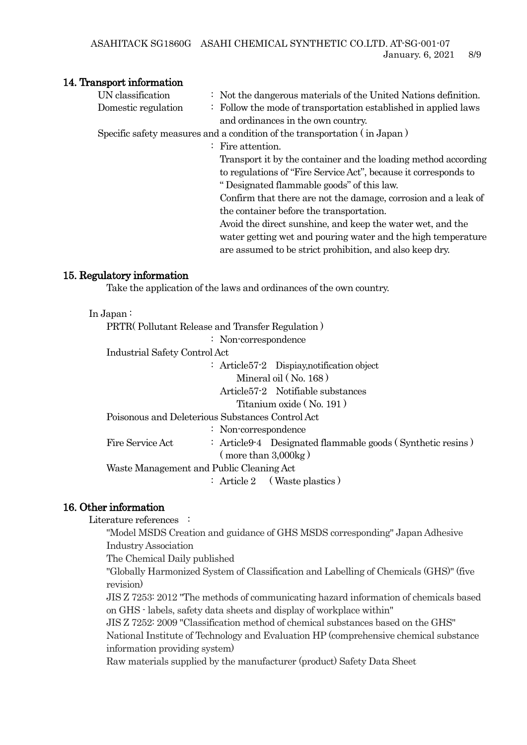#### 14. Transport information

| UN classification   | $\therefore$ Not the dangerous materials of the United Nations definition. |
|---------------------|----------------------------------------------------------------------------|
| Domestic regulation | : Follow the mode of transportation established in applied laws            |
|                     | and ordinances in the own country.                                         |
|                     | Specific safety measures and a condition of the transportation (in Japan)  |
|                     | $\therefore$ Fire attention.                                               |
|                     | Transport it by the container and the loading method according             |
|                     | to regulations of "Fire Service Act", because it corresponds to            |
|                     | " Designated flammable goods" of this law.                                 |
|                     | Confirm that there are not the damage, corrosion and a leak of             |
|                     | the container before the transportation.                                   |
|                     | Avoid the direct sunshine, and keep the water wet, and the                 |
|                     | water getting wet and pouring water and the high temperature               |
|                     | are assumed to be strict prohibition, and also keep dry.                   |
|                     |                                                                            |

### 15. Regulatory information

Take the application of the laws and ordinances of the own country.

#### In Japan :

PRTR( Pollutant Release and Transfer Regulation )

: Non-correspondence

Industrial Safety Control Act

: Article57-2 Dispiay,notification object Mineral oil ( No. 168 ) Article57-2 Notifiable substances

Titanium oxide ( No. 191 )

Poisonous and Deleterious Substances Control Act

: Non-correspondence

Fire Service Act : Article9-4 Designated flammable goods (Synthetic resins) ( more than 3,000kg )

Waste Management and Public Cleaning Act

: Article 2 (Waste plastics)

### 16. Other information

Literature references :

"Model MSDS Creation and guidance of GHS MSDS corresponding" Japan Adhesive Industry Association

The Chemical Daily published

"Globally Harmonized System of Classification and Labelling of Chemicals (GHS)" (five revision)

JIS Z 7253: 2012 "The methods of communicating hazard information of chemicals based on GHS - labels, safety data sheets and display of workplace within"

JIS Z 7252: 2009 "Classification method of chemical substances based on the GHS" National Institute of Technology and Evaluation HP (comprehensive chemical substance information providing system)

Raw materials supplied by the manufacturer (product) Safety Data Sheet